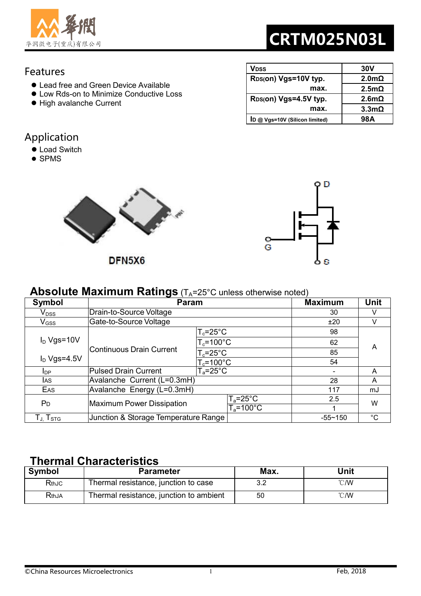

# CRTM025N03L

**2.0mΩ 2.5mΩ** 

**2.6mΩ 3.3mΩ** 

**VDSS 30V** 

 **max.** 

 **max.** 

**ID @ Vgs=10V (Silicon limited) 98A** 

**RDS(on) Vgs=10V typ.** 

**RDS(on) Vgs=4.5V typ.** 

#### Features

- Lead free and Green Device Available
- Low Rds-on to Minimize Conductive Loss
- High avalanche Current

## Application

- **Load Switch**
- SPMS



DFN5X6



#### **Absolute Maximum Ratings** (T<sub>A</sub>=25°C unless otherwise noted)

| Symbol                                                         | <b>Param</b>                         | <b>Maximum</b>            | Unit        |             |  |
|----------------------------------------------------------------|--------------------------------------|---------------------------|-------------|-------------|--|
| $\mathsf{V}_{\mathsf{DSS}}$                                    | Drain-to-Source Voltage              |                           | 30          |             |  |
| $\mathsf{V}_{\mathsf{GSS}}$                                    | Gate-to-Source Voltage               |                           | ±20         |             |  |
|                                                                |                                      | $T_c = 25^{\circ}C$       | 98          | A           |  |
| $I_D$ Vgs=10V                                                  |                                      | $T_c = 100^{\circ}$ C     | 62          |             |  |
|                                                                | Continuous Drain Current             | $T_c = 25^{\circ}$ C      | 85          |             |  |
| $I_D$ Vgs=4.5V                                                 |                                      | $T_c = 100^{\circ}$ C     | 54          |             |  |
| <b>I</b> DP                                                    | Pulsed Drain Current                 | $T_a = 25^{\circ}$ C      |             | A           |  |
| <b>I</b> AS                                                    | Avalanche Current (L=0.3mH)          |                           | 28          | A           |  |
| EAS                                                            | Avalanche Energy (L=0.3mH)           |                           | 117         | mJ          |  |
| P <sub>D</sub>                                                 | Maximum Power Dissipation            | $T_a = 25^\circ \text{C}$ | 2.5         | W           |  |
|                                                                |                                      | $T_a = 100^{\circ}$ C     |             |             |  |
| $\mathsf{T}_{\mathsf{J}_\cdot}\mathsf{T}_{\mathsf{STG}_\cdot}$ | Junction & Storage Temperature Range |                           | $-55 - 150$ | $^{\circ}C$ |  |

### **Thermal Characteristics**

| <b>Symbol</b>    | <b>Parameter</b>                        | Max. | Unit           |
|------------------|-----------------------------------------|------|----------------|
| RthJC            | Thermal resistance, junction to case    | 3.2  | $^{\circ}$ C/W |
| $\mathsf{RthJA}$ | Thermal resistance, junction to ambient | 50   | $^{\circ}$ C/W |

| ©China Resources Microelectronics | Feb, 2018 |
|-----------------------------------|-----------|
|                                   |           |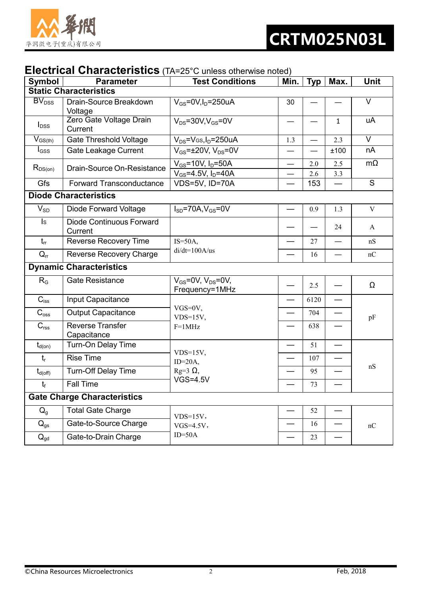

### **Electrical Characteristics** (TA=25°C unless otherwise noted)

| Symbol                              | <b>Parameter</b>                           | $\sim$ . This are the control of the motor $\sim$<br><b>Test Conditions</b> | Min. | <b>Typ</b>               | Max.         | Unit              |
|-------------------------------------|--------------------------------------------|-----------------------------------------------------------------------------|------|--------------------------|--------------|-------------------|
| <b>Static Characteristics</b>       |                                            |                                                                             |      |                          |              |                   |
| $\overline{\text{BV}_{\text{DSS}}}$ | Drain-Source Breakdown<br>Voltage          | $V_{GS}$ =0V, I <sub>D</sub> =250uA                                         | 30   |                          |              | $\overline{\vee}$ |
| $I_{DSS}$                           | Zero Gate Voltage Drain<br>Current         | $V_{DS} = 30V$ , $V_{GS} = 0V$                                              |      |                          | $\mathbf{1}$ | uA                |
| $V_{GS(th)}$                        | <b>Gate Threshold Voltage</b>              | $V_{DS}$ = $V_{GS}$ , I <sub>D</sub> =250uA                                 | 1.3  | $\overline{\phantom{0}}$ | 2.3          | V                 |
| $I_{GSS}$                           | Gate Leakage Current                       | $V_{GS}$ = $\pm$ 20V, V <sub>DS</sub> =0V                                   | —    | $\overline{\phantom{0}}$ | ±100         | nA                |
| $R_{DS(on)}$                        | Drain-Source On-Resistance                 | $V_{GS}$ =10V, $I_D$ =50A<br>$V_{GS} = 4.5V, I_D = 40A$                     |      | 2.0<br>2.6               | 2.5<br>3.3   | $m\Omega$         |
| Gfs                                 | <b>Forward Transconductance</b>            | VDS=5V, ID=70A                                                              |      | 153                      |              | S                 |
|                                     | <b>Diode Characteristics</b>               |                                                                             |      |                          |              |                   |
| $V_{SD}$                            | <b>Diode Forward Voltage</b>               | $I_{SD}$ =70A, $V_{GS}$ =0V                                                 |      | 0.9                      | 1.3          | $\mathbf V$       |
| $\mathsf{ls}$                       | <b>Diode Continuous Forward</b><br>Current |                                                                             |      |                          | 24           | A                 |
| $t_{rr}$                            | <b>Reverse Recovery Time</b>               | $IS = 50A$ ,                                                                |      | 27                       |              | nS                |
| $Q_{rr}$                            | <b>Reverse Recovery Charge</b>             | $di/dt = 100A/us$                                                           |      | 16                       |              | nC                |
|                                     | <b>Dynamic Characteristics</b>             |                                                                             |      |                          |              |                   |
| $R_G$                               | <b>Gate Resistance</b>                     | $V_{GS}$ =0V, $V_{DS}$ =0V,<br>Frequency=1MHz                               |      | 2.5                      |              | Ω                 |
| $C_{iss}$                           | Input Capacitance                          |                                                                             | —    | 6120                     | —            |                   |
| $C_{\rm oss}$                       | <b>Output Capacitance</b>                  | $VGS=0V,$<br>$VDS=15V,$                                                     |      | 704                      |              | pF                |
| $C_{\text{rss}}$                    | <b>Reverse Transfer</b><br>Capacitance     | $F=1MHz$                                                                    |      | 638                      |              |                   |
| $t_{d(on)}$                         | Turn-On Delay Time                         |                                                                             |      | 51                       |              |                   |
| $t_{r}$                             | <b>Rise Time</b>                           | $VDS=15V$ ,<br>$ID=20A$ ,                                                   |      | 107                      |              |                   |
| $t_{d(\text{off})}$                 | <b>Turn-Off Delay Time</b>                 | $Rg=3 \Omega$ ,                                                             |      | 95                       |              | nS                |
| $t_f$                               | <b>Fall Time</b>                           | <b>VGS=4.5V</b>                                                             |      | 73                       |              |                   |
| <b>Gate Charge Characteristics</b>  |                                            |                                                                             |      |                          |              |                   |
| $Q_{g}$                             | <b>Total Gate Charge</b>                   | $VDS=15V$ ,                                                                 |      | 52                       |              |                   |
| $Q_{gs}$                            | Gate-to-Source Charge                      | $VGS=4.5V$ ,                                                                |      | 16                       |              | nC                |
| $Q_{gd}$                            | Gate-to-Drain Charge                       | $ID=50A$                                                                    |      | 23                       |              |                   |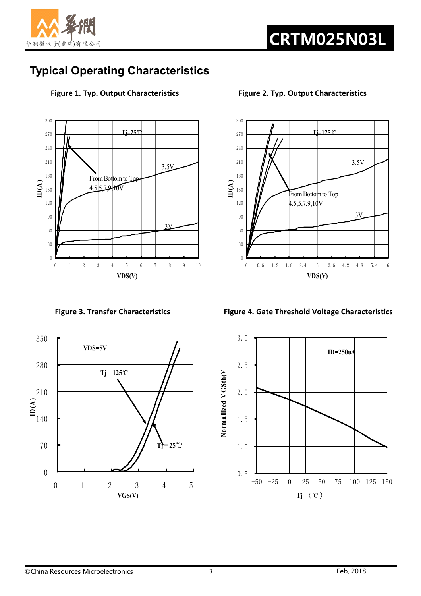

# **Typical Operating Characteristics**





**Figure 1. Typ. Output Characteristics Figure 2. Typ. Output Characteristics**



Figure 3. Transfer Characteristics **Figure 4. Gate Threshold Voltage Characteristics** 

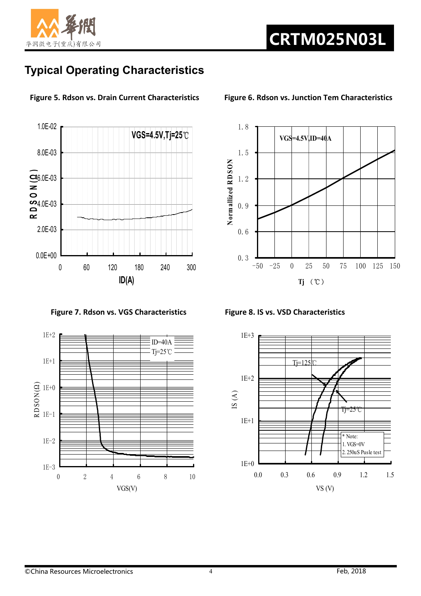

# **Typical Operating Characteristics**



**Figure 5. Rdson vs. Drain Current Characteristics Figure 6. Rdson vs. Junction Tem Characteristics**

Figure 7. Rdson vs. VGS Characteristics Figure 8. IS vs. VSD Characteristics





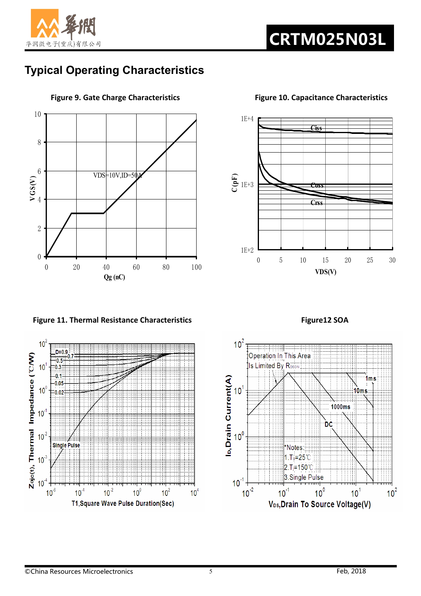

# **Typical Operating Characteristics**



**Figure 9. Gate Charge Characteristics Figure 10. Capacitance Characteristics**

**Figure 11. Thermal Resistance Characteristics Figure12 SOA <b>Figure12 SOA** 





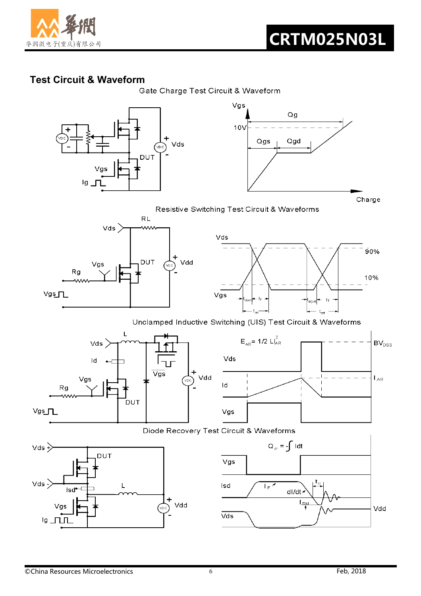